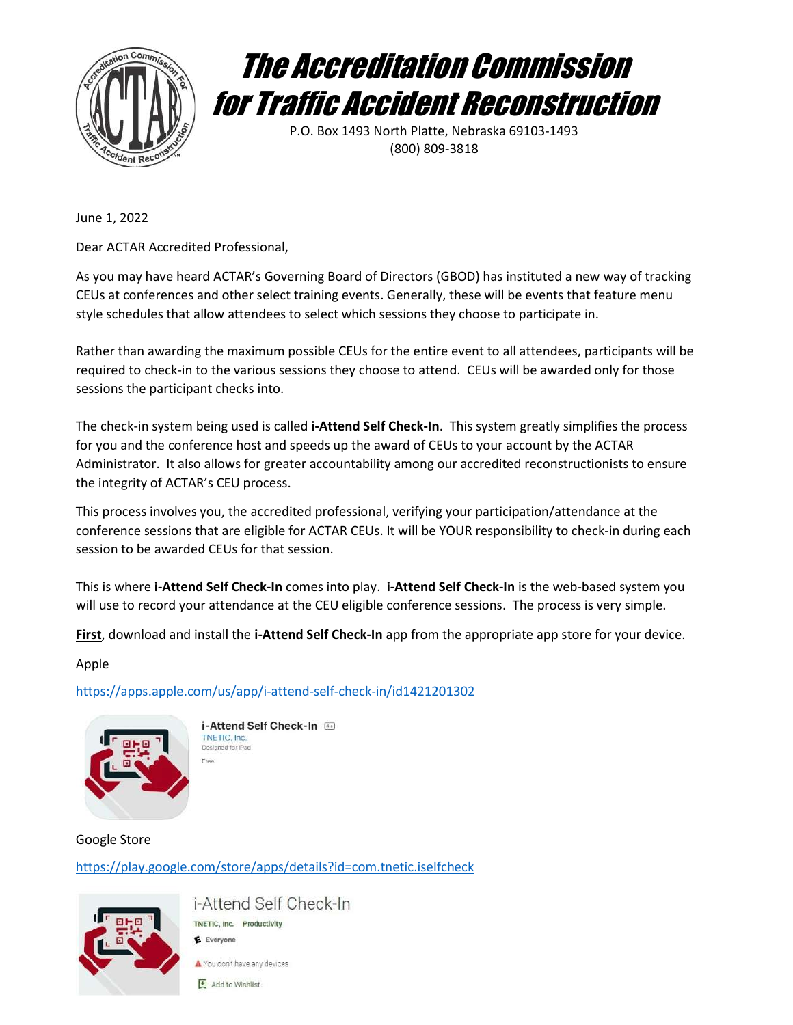



P.O. Box 1493 North Platte, Nebraska 69103-1493 (800) 809-3818

June 1, 2022

Dear ACTAR Accredited Professional,

As you may have heard ACTAR's Governing Board of Directors (GBOD) has instituted a new way of tracking CEUs at conferences and other select training events. Generally, these will be events that feature menu style schedules that allow attendees to select which sessions they choose to participate in.

Rather than awarding the maximum possible CEUs for the entire event to all attendees, participants will be required to check-in to the various sessions they choose to attend. CEUs will be awarded only for those sessions the participant checks into.

The check-in system being used is called i-Attend Self Check-In. This system greatly simplifies the process for you and the conference host and speeds up the award of CEUs to your account by the ACTAR Administrator. It also allows for greater accountability among our accredited reconstructionists to ensure the integrity of ACTAR's CEU process.

This process involves you, the accredited professional, verifying your participation/attendance at the conference sessions that are eligible for ACTAR CEUs. It will be YOUR responsibility to check-in during each session to be awarded CEUs for that session.

This is where i-Attend Self Check-In comes into play. i-Attend Self Check-In is the web-based system you will use to record your attendance at the CEU eligible conference sessions. The process is very simple.

First, download and install the i-Attend Self Check-In app from the appropriate app store for your device.

Apple

https://apps.apple.com/us/app/i-attend-self-check-in/id1421201302



i-Attend Self Check-In TNETIC, Inc. Designed for iPad

Google Store https://play.google.com/store/apps/details?id=com.tnetic.iselfcheck



i-Attend Self Check-In TNETIC, Inc. Productivity E Everyone

You don't have any devices

 $\Box$  Add to Wishlist